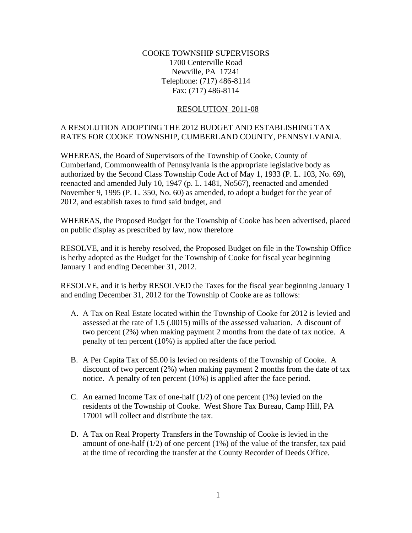## COOKE TOWNSHIP SUPERVISORS 1700 Centerville Road Newville, PA 17241 Telephone: (717) 486-8114 Fax: (717) 486-8114

## RESOLUTION 2011-08

## A RESOLUTION ADOPTING THE 2012 BUDGET AND ESTABLISHING TAX RATES FOR COOKE TOWNSHIP, CUMBERLAND COUNTY, PENNSYLVANIA.

WHEREAS, the Board of Supervisors of the Township of Cooke, County of Cumberland, Commonwealth of Pennsylvania is the appropriate legislative body as authorized by the Second Class Township Code Act of May 1, 1933 (P. L. 103, No. 69), reenacted and amended July 10, 1947 (p. L. 1481, No567), reenacted and amended November 9, 1995 (P. L. 350, No. 60) as amended, to adopt a budget for the year of 2012, and establish taxes to fund said budget, and

WHEREAS, the Proposed Budget for the Township of Cooke has been advertised, placed on public display as prescribed by law, now therefore

RESOLVE, and it is hereby resolved, the Proposed Budget on file in the Township Office is herby adopted as the Budget for the Township of Cooke for fiscal year beginning January 1 and ending December 31, 2012.

RESOLVE, and it is herby RESOLVED the Taxes for the fiscal year beginning January 1 and ending December 31, 2012 for the Township of Cooke are as follows:

- A. A Tax on Real Estate located within the Township of Cooke for 2012 is levied and assessed at the rate of 1.5 (.0015) mills of the assessed valuation. A discount of two percent (2%) when making payment 2 months from the date of tax notice. A penalty of ten percent (10%) is applied after the face period.
- B. A Per Capita Tax of \$5.00 is levied on residents of the Township of Cooke. A discount of two percent (2%) when making payment 2 months from the date of tax notice. A penalty of ten percent (10%) is applied after the face period.
- C. An earned Income Tax of one-half  $(1/2)$  of one percent  $(1%)$  levied on the residents of the Township of Cooke. West Shore Tax Bureau, Camp Hill, PA 17001 will collect and distribute the tax.
- D. A Tax on Real Property Transfers in the Township of Cooke is levied in the amount of one-half  $(1/2)$  of one percent  $(1%)$  of the value of the transfer, tax paid at the time of recording the transfer at the County Recorder of Deeds Office.